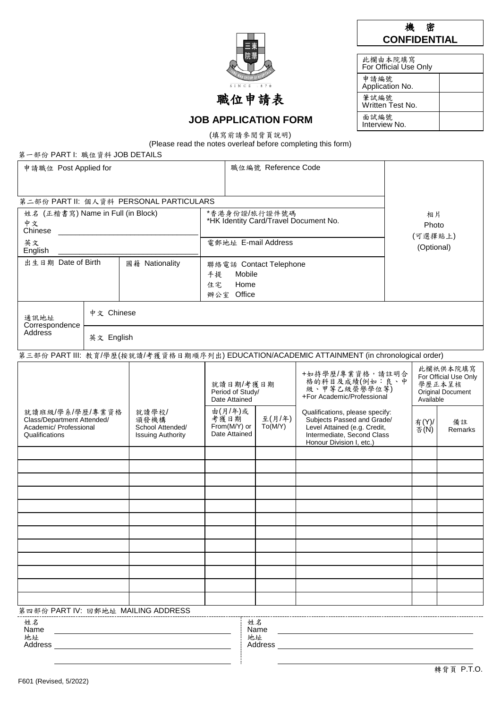| 機 | 密                   |
|---|---------------------|
|   | <b>CONFIDENTIAL</b> |

| 此欄由本院填寫<br>For Official Use Only |  |
|----------------------------------|--|
| 申請編號<br>Application No.          |  |
| 筆試編號<br>Written Test No.         |  |
| 面試編號<br>Interview No.            |  |

 $\overline{s}$  1 N C

# 職位申請表

**JOB APPLICATION FORM** (填寫前請參閱背頁說明)

(Please read the notes overleaf before completing this form)

第一部份 PART I: 職位資料 JOB DETAILS

| 申請職位 Post Applied for                                                                                                                                      |            | 職位編號 Reference Code                                                                         |                                                                                                                                   |                                                        |  |                                                                                                                                                         |  |                  |               |
|------------------------------------------------------------------------------------------------------------------------------------------------------------|------------|---------------------------------------------------------------------------------------------|-----------------------------------------------------------------------------------------------------------------------------------|--------------------------------------------------------|--|---------------------------------------------------------------------------------------------------------------------------------------------------------|--|------------------|---------------|
|                                                                                                                                                            |            |                                                                                             |                                                                                                                                   |                                                        |  |                                                                                                                                                         |  |                  |               |
|                                                                                                                                                            |            | 第二部份 PART II: 個人資料 PERSONAL PARTICULARS                                                     |                                                                                                                                   |                                                        |  |                                                                                                                                                         |  |                  |               |
| 姓名 (正楷書寫) Name in Full (in Block)                                                                                                                          |            |                                                                                             |                                                                                                                                   | *香港身份證/旅行證件號碼<br>*HK Identity Card/Travel Document No. |  |                                                                                                                                                         |  | 相片               |               |
| 中文<br>Chinese                                                                                                                                              |            |                                                                                             |                                                                                                                                   |                                                        |  |                                                                                                                                                         |  | Photo<br>(可選擇貼上) |               |
| 英文<br>English                                                                                                                                              |            |                                                                                             | 電郵地址 E-mail Address                                                                                                               |                                                        |  |                                                                                                                                                         |  | (Optional)       |               |
| 出生日期 Date of Birth                                                                                                                                         |            | 國籍 Nationality                                                                              | 聯絡電話 Contact Telephone                                                                                                            |                                                        |  |                                                                                                                                                         |  |                  |               |
|                                                                                                                                                            |            |                                                                                             | 手提<br>住宅                                                                                                                          | Mobile<br>Home                                         |  |                                                                                                                                                         |  |                  |               |
|                                                                                                                                                            |            |                                                                                             | 辦公室 Office                                                                                                                        |                                                        |  |                                                                                                                                                         |  |                  |               |
| 通訊地址                                                                                                                                                       | 中文 Chinese |                                                                                             |                                                                                                                                   |                                                        |  |                                                                                                                                                         |  |                  |               |
| Correspondence<br>Address                                                                                                                                  | 英文 English |                                                                                             |                                                                                                                                   |                                                        |  |                                                                                                                                                         |  |                  |               |
|                                                                                                                                                            |            | 第三部份 PART III: 教育/學歷(按就讀/考獲資格日期順序列出) EDUCATION/ACADEMIC ATTAINMENT (in chronological order) |                                                                                                                                   |                                                        |  |                                                                                                                                                         |  |                  |               |
| 就讀班級/學系/學歷/專業資格<br>就讀學校/<br>Class/Department Attended/<br>頒發機構<br>Academic/ Professional<br>School Attended/<br>Qualifications<br><b>Issuing Authority</b> |            |                                                                                             | +如持學歷/專業資格,請註明合<br>格的科目及成績(例如:良、中<br>就讀日期/考獲日期<br>級、甲等乙級榮譽學位等)<br>Period of Study/<br>+For Academic/Professional<br>Date Attained |                                                        |  | 此欄祇供本院填寫<br>For Official Use Only<br>學歷正本呈核<br>Original Document<br>Available                                                                           |  |                  |               |
|                                                                                                                                                            |            |                                                                                             | 由(月/年)或<br>至(月/年)<br>考獲日期<br>From(M/Y) or<br>To(M/Y)<br>Date Attained                                                             |                                                        |  | Qualifications, please specify:<br>Subjects Passed and Grade/<br>Level Attained (e.g. Credit,<br>Intermediate, Second Class<br>Honour Division I, etc.) |  | 有(Y)/<br>否(N)    | 備註<br>Remarks |
|                                                                                                                                                            |            |                                                                                             |                                                                                                                                   |                                                        |  |                                                                                                                                                         |  |                  |               |
|                                                                                                                                                            |            |                                                                                             |                                                                                                                                   |                                                        |  |                                                                                                                                                         |  |                  |               |
|                                                                                                                                                            |            |                                                                                             |                                                                                                                                   |                                                        |  |                                                                                                                                                         |  |                  |               |
|                                                                                                                                                            |            |                                                                                             |                                                                                                                                   |                                                        |  |                                                                                                                                                         |  |                  |               |
|                                                                                                                                                            |            |                                                                                             |                                                                                                                                   |                                                        |  |                                                                                                                                                         |  |                  |               |
|                                                                                                                                                            |            |                                                                                             |                                                                                                                                   |                                                        |  |                                                                                                                                                         |  |                  |               |
|                                                                                                                                                            |            |                                                                                             |                                                                                                                                   |                                                        |  |                                                                                                                                                         |  |                  |               |
|                                                                                                                                                            |            |                                                                                             |                                                                                                                                   |                                                        |  |                                                                                                                                                         |  |                  |               |
|                                                                                                                                                            |            |                                                                                             |                                                                                                                                   |                                                        |  |                                                                                                                                                         |  |                  |               |
|                                                                                                                                                            |            |                                                                                             |                                                                                                                                   |                                                        |  |                                                                                                                                                         |  |                  |               |
| 第四部份 PART IV: 回郵地址 MAILING ADDRESS                                                                                                                         |            |                                                                                             |                                                                                                                                   |                                                        |  |                                                                                                                                                         |  |                  |               |
| 姓名                                                                                                                                                         |            |                                                                                             |                                                                                                                                   | 姓名                                                     |  |                                                                                                                                                         |  |                  |               |
| Name<br>地址                                                                                                                                                 |            |                                                                                             |                                                                                                                                   | Name<br>地址                                             |  |                                                                                                                                                         |  |                  |               |
| Address<br>Address                                                                                                                                         |            |                                                                                             |                                                                                                                                   |                                                        |  |                                                                                                                                                         |  |                  |               |

 $\overline{a}$ 

 $\overline{a}$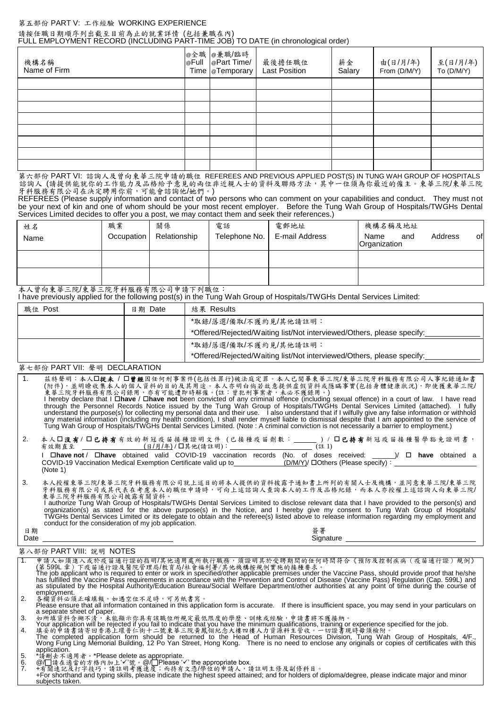#### 第五部份 PART V: 工作經驗 WORKING EXPERIENCE

#### 請按任職日期順序列出截至目前為止的就業詳情 (包括兼職在內) FULL EMPLOYMENT RECORD (INCLUDING PART-TIME JOB) TO DATE (in chronological order)

| 機構名稱<br>Name of Firm | @全職   @兼職/臨時<br>  @Full   @Part Time/<br>Time <b>T</b> emporary | 最後擔任職位<br>Last Position | 薪金<br>Salary | 由(日/月/年)<br>From (D/M/Y) | 至(日/月/年)<br>To (D/M/Y) |
|----------------------|-----------------------------------------------------------------|-------------------------|--------------|--------------------------|------------------------|
|                      |                                                                 |                         |              |                          |                        |
|                      |                                                                 |                         |              |                          |                        |
|                      |                                                                 |                         |              |                          |                        |
|                      |                                                                 |                         |              |                          |                        |
|                      |                                                                 |                         |              |                          |                        |
|                      |                                                                 |                         |              |                          |                        |
|                      |                                                                 |                         |              |                          |                        |
|                      |                                                                 |                         |              |                          |                        |

第六部份 PART VI: 諮詢人及曾向東華三院申請的職位 REFEREES AND PREVIOUS APPLIED POST(S) IN TUNG WAH GROUP OF HOSPITALS 諮詢人 (請提供能就你的工作能力及品格給予意見的兩位非近親人士的資料及聯絡方法,其中一位須為你最近的僱主。東華三院/東華三院 牙科服務有限公司在決定聘用你前,可能會諮詢他/她們。)

REFEREES (Please supply information and contact of two persons who can comment on your capabilities and conduct. They must not be your next of kin and one of whom should be your most recent employer. Before the Tung Wah Group of Hospitals/TWGHs Dental Services Limited decides to offer you a post, we may contact them and seek their references.)

| 姓名<br>Name | 職業<br>Occupation | 關係<br>Relationship | 雷話<br>Telephone No. | 電郵地址<br>E-mail Address | 機構名稱及地址<br>of.<br>Address<br>and<br>Name<br>Organization |
|------------|------------------|--------------------|---------------------|------------------------|----------------------------------------------------------|
|            |                  |                    |                     |                        |                                                          |
|            |                  |                    |                     |                        |                                                          |

本人曾向東華三院/東華三院牙科服務有限公司申請下列職位: I have previously applied for the following post(s) in the Tung Wah Group of Hospitals/TWGHs Dental Services Limited:

| 職位 Post | 日期 Date | 結果 Results                                                                                      |
|---------|---------|-------------------------------------------------------------------------------------------------|
|         |         | *取錄/落選/備取/不獲約見/其他請註明:<br>*Offered/Rejected/Waiting list/Not interviewed/Others, please specify: |
|         |         | *取錄/落選/備取/不獲約見/其他請註明:<br>*Offered/Rejected/Waiting list/Not interviewed/Others, please specify: |

### 第七部份 PART VII: 聲明 DECLARATION

| $\sim$ 1. | 茲特聲明︰本人囗從未 / 囗曾鏗因任何刑事案件(包括性罪行)被法庭定罪。本人已閲畢東華三院/東華三院牙科服務有限公司人事紀錄通知書<br>(附件),並明瞭收集本人的個人資料的目的及其用途。本人亦明白倘若故意提供虛假資料或隱瞞事實(包括身體健康狀況),即使獲東華三院/<br>東華三院牙科服務有限公司錄用,亦有可能遭即時解僱。(註:曾犯刑事案者,未必不獲錄用。)<br>I hereby declare that I <b>□have</b> / □ <b>have not</b> been convicted of any criminal offence (including sexual offence) in a court of law. I have read<br>through the Personnel Records Notice issued by the Tung Wah Group of Hospitals/TWGHs Dental Services Limited (attached). I fully<br>understand the purpose(s) for collecting my personal data and their use. I also understand that if I wilfully give any false information or withhold<br>any material information (including my health condition), I shall render myself liable to dismissal despite that I am appointed to the service of<br>Tung Wah Group of Hospitals/TWGHs Dental Services Limited. (Note: A criminal conviction is not necessarily a barrier to employment.) |
|-----------|--------------------------------------------------------------------------------------------------------------------------------------------------------------------------------------------------------------------------------------------------------------------------------------------------------------------------------------------------------------------------------------------------------------------------------------------------------------------------------------------------------------------------------------------------------------------------------------------------------------------------------------------------------------------------------------------------------------------------------------------------------------------------------------------------------------------------------------------------------------------------------------------------------------------------------------------|
| 2.        | 本人囗没有1 囗已持有有效的新冠疫苗接種證明文件(已接種疫苗劑數:______)/ 囗已持有新冠疫苗接種醫學豁免證明書,<br>有效期直至 ___________________(日/月/年)/口其他(請註明): ___________________________(註 1)<br>$\Box$ have not / $\Box$ have obtained valid COVID-19 vaccination records (No. of doses received: ______)/ $\Box$ have obtained a<br>COVID-19 Vaccination Medical Exemption Certificate valid up to (D/M/Y) COthers (Please specify) :<br>(Note 1)                                                                                                                                                                                                                                                                                                                                                                                                                                                                                                                                          |
| 3.        | 本人授權東華三院/東華三院牙科服務有限公司就上述目的將本人提供的資料披露予通知書上所列的有關人士及機構,並同意東華三院/東華三院<br>牙科服務有限公司或其代表在考慮本人的職位申請時,可向上述諮詢人查詢本人的工作及品格紀錄,而本人亦授權上述諮詢人向東華三院/<br>東華三院牙科服務有限公司披露有關資料。<br>authorize Tung Wah Group of Hospitals/TWGHs Dental Services Limited to disclose relevant data that I have provided to the person(s) and<br>organization(s) as stated for the above purpose(s) in the Notice, and I hereby give my consent to Tung Wah Group of Hospitals/<br>TWGHs Dental Services Limited or its delegate to obtain and the referee(s) listed above to release information regarding my employment and<br>conduct for the consideration of my job application.                                                                                                                                                                                                                                                                                                |
| 日期        | 簽署                                                                                                                                                                                                                                                                                                                                                                                                                                                                                                                                                                                                                                                                                                                                                                                                                                                                                                                                         |

Date Signature

#### 第八部份 PART VIII: 說明 NOTES

| 申請人如須進入或於疫苗通行證的指明/其他適用處所執行職務,須證明其於受聘期間的任何時間符合《預防及控制疾病(疫苗通行證)規例》                                                                                        |
|--------------------------------------------------------------------------------------------------------------------------------------------------------|
| (第 599L 章 ) 下疫苗通行證及醫院管理局/教育局/社會福利署/其他機構按規例實施的接種要求。                                                                                                     |
| The job applicant who is required to enter or work in specified/other applicable premises under the Vaccine Pass, should provide proof that he/she     |
| has fulfilled the Vaccine Pass requirements in accordance with the Prevention and Control of Disease (Vaccine Pass) Regulation (Cap. 599L) and         |
| as stipulated by the Hospital Authority/Education Bureau/Social Welfare Department/other authorities at any point of time during the course of         |
| employment.                                                                                                                                            |
| 各欄資料必須正確填報。如遇空位不足時,可另紙書寫。                                                                                                                              |
| Please ensure that all information contained in this application form is accurate. If there is insufficient space, you may send in your particulars on |
| a separate sheet of paper.                                                                                                                             |
| 如所填資料含糊不清,未能顯示你具有該職位所規定最低限度的學歷、訓練或經驗,申請書將不獲接納。                                                                                                         |

- 
- 3. 如所填資料含糊不清,未能顯示你具有該職位所規定最低限度的學歷、訓練或經驗,申請書將不獲接納。<br>Your application will be rejected if you fail to indicate that you have the minimum qualifications, training o<br>4. 填充的申請書請者可看港上環普仁街十二號東華三院黃鳳網紀念大樓四樓人力資源科主管收。一切證書現時毋須檢附。<br>The
- application.<br>\*請刪去不过
- 
- 5. "請刪去不適用者。\*Please delete as appropriate.<br>6. @/□請在適當的方格內加上'√'號。@/□Please '√' the appropriate box.<br>7. +有關速記及打字技巧,請註明考獲速度;而持有文憑/學位的申請人,請註明主修及副修科目。

+For shorthand and typing skills, please indicate the highest speed attained; and for holders of diploma/degree, please indicate major and minor subjects taken.